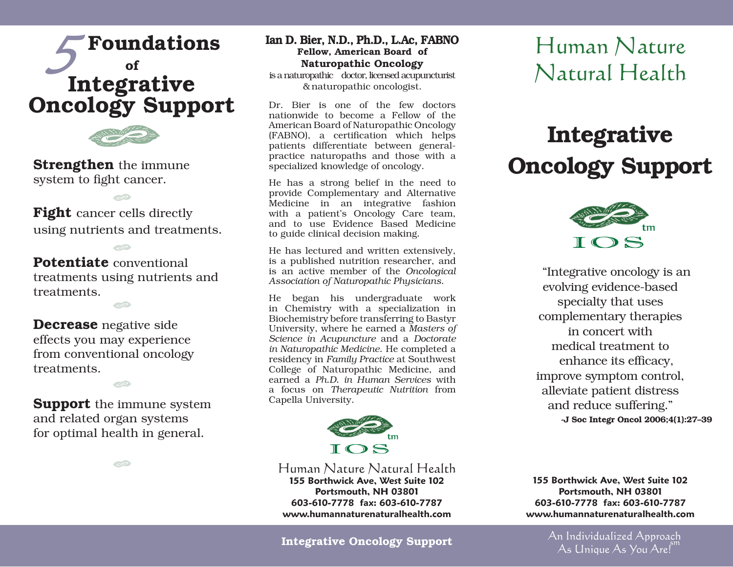



**Strengthen** the immune system to fight cancer.

**Fight** cancer cells directly using nutrients and treatments.

**PD** 

Potentiate conventional treatments using nutrients and treatments.

CD

Decrease negative side effects you may experience from conventional oncology treatments.

**Support** the immune system and related organ systems for optimal health in general.

CD

**CO** 

Ian D. Bier, N.D., Ph.D., L.Ac, FABNO Fellow, American Board of Naturopathic Oncology is a naturopathic doctor, licensed acupuncturist & naturopathic oncologist.

Dr. Bier is one of the few doctors nationwide to become a Fellow of the American Board of Naturopathic Oncology (FABNO), a certification which helps patients differentiate between generalpractice naturopaths and those with a specialized knowledge of oncology.

He has a strong belief in the need to provide Complementary and Alternative Medicine in an integrative fashion with a patient's Oncology Care team, and to use Evidence Based Medicine to guide clinical decision making.

He has lectured and written extensively, is a published nutrition researcher, and is an active member of the *Oncological Association of Naturopathic Physicians*.

He began his undergraduate work in Chemistry with a specialization in Biochemistry before transferring to Bastyr University, where he earned a *Masters of Science in Acupuncture* and a *Doctorate in Naturopathic Medicine*. He completed a residency in *Family Practice* at Southwest College of Naturopathic Medicine, and earned a *Ph.D. in Human Services* with a focus on *Therapeutic Nutrition* from Capella University.



Human Nature Natural Health **155 Borthwick Ave, West Suite 102 Portsmouth, NH 03801 603-610-7778 fax: 603-610-7787 www.humannaturenaturalhealth.com**

#### Integrative Oncology Support

## Human Nature Natural Health

# Integrative Oncology Support



"Integrative oncology is an evolving evidence-based specialty that uses complementary therapies in concert with medical treatment to enhance its efficacy, improve symptom control, alleviate patient distress and reduce suffering." -J Soc Integr Oncol 2006;4(1):27–39

**155 Borthwick Ave, West Suite 102 Portsmouth, NH 03801 603-610-7778 fax: 603-610-7787 www.humannaturenaturalhealth.com**

> An Individualized Approach As Unique As You  $Are.<sup>5m</sup>$